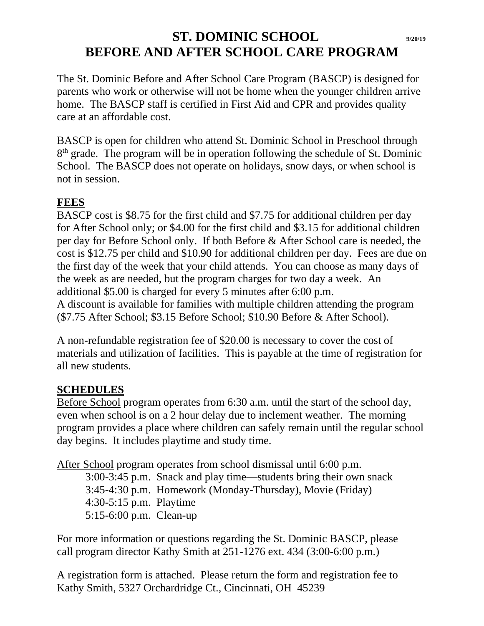## **ST. DOMINIC SCHOOL 9/20/19 BEFORE AND AFTER SCHOOL CARE PROGRAM**

The St. Dominic Before and After School Care Program (BASCP) is designed for parents who work or otherwise will not be home when the younger children arrive home. The BASCP staff is certified in First Aid and CPR and provides quality care at an affordable cost.

BASCP is open for children who attend St. Dominic School in Preschool through 8<sup>th</sup> grade. The program will be in operation following the schedule of St. Dominic School. The BASCP does not operate on holidays, snow days, or when school is not in session.

## **FEES**

BASCP cost is \$8.75 for the first child and \$7.75 for additional children per day for After School only; or \$4.00 for the first child and \$3.15 for additional children per day for Before School only. If both Before & After School care is needed, the cost is \$12.75 per child and \$10.90 for additional children per day. Fees are due on the first day of the week that your child attends. You can choose as many days of the week as are needed, but the program charges for two day a week. An additional \$5.00 is charged for every 5 minutes after 6:00 p.m. A discount is available for families with multiple children attending the program (\$7.75 After School; \$3.15 Before School; \$10.90 Before & After School).

A non-refundable registration fee of \$20.00 is necessary to cover the cost of materials and utilization of facilities. This is payable at the time of registration for all new students.

## **SCHEDULES**

Before School program operates from 6:30 a.m. until the start of the school day, even when school is on a 2 hour delay due to inclement weather. The morning program provides a place where children can safely remain until the regular school day begins. It includes playtime and study time.

After School program operates from school dismissal until 6:00 p.m.

3:00-3:45 p.m. Snack and play time—students bring their own snack 3:45-4:30 p.m. Homework (Monday-Thursday), Movie (Friday) 4:30-5:15 p.m. Playtime 5:15-6:00 p.m. Clean-up

For more information or questions regarding the St. Dominic BASCP, please call program director Kathy Smith at 251-1276 ext. 434 (3:00-6:00 p.m.)

A registration form is attached. Please return the form and registration fee to Kathy Smith, 5327 Orchardridge Ct., Cincinnati, OH 45239